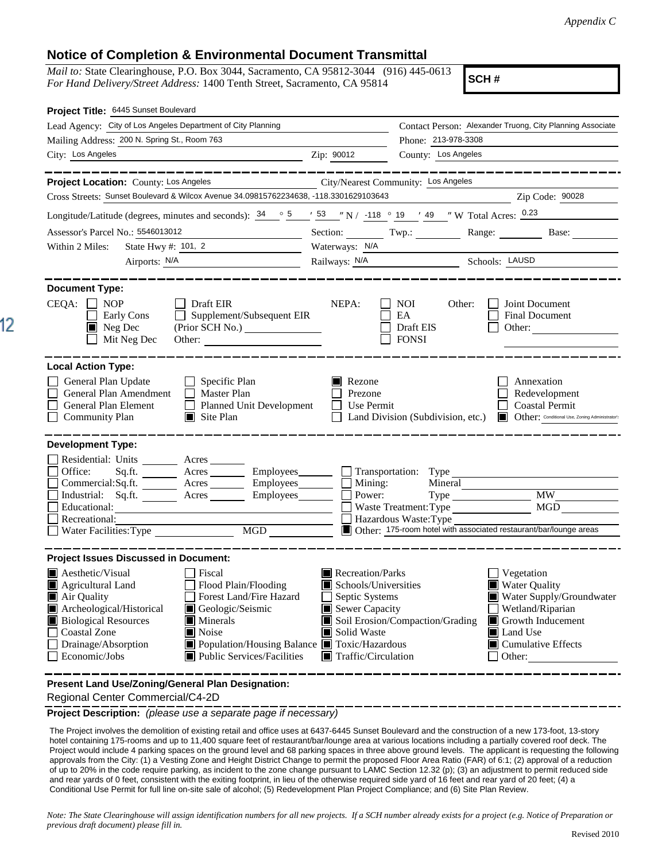## **Notice of Completion & Environmental Document Transmittal**

*Mail to:* State Clearinghouse, P.O. Box 3044, Sacramento, CA 95812-3044 (916) 445-0613 *For Hand Delivery/Street Address:* 1400 Tenth Street, Sacramento, CA 95814

**SCH #**

| Project Title: 6445 Sunset Boulevard                                                                                                                                                                                                                                                                                                                                                                          |                                                                                                                                   |                                                                  |                                                                                                                                                                    |
|---------------------------------------------------------------------------------------------------------------------------------------------------------------------------------------------------------------------------------------------------------------------------------------------------------------------------------------------------------------------------------------------------------------|-----------------------------------------------------------------------------------------------------------------------------------|------------------------------------------------------------------|--------------------------------------------------------------------------------------------------------------------------------------------------------------------|
| Lead Agency: City of Los Angeles Department of City Planning                                                                                                                                                                                                                                                                                                                                                  |                                                                                                                                   |                                                                  | Contact Person: Alexander Truong, City Planning Associate                                                                                                          |
| Mailing Address: 200 N. Spring St., Room 763                                                                                                                                                                                                                                                                                                                                                                  |                                                                                                                                   | Phone: 213-978-3308                                              |                                                                                                                                                                    |
| City: Los Angeles<br><u> 1989 - Johann Stein, marwolaethau a bhann an t-Amhair ann an t-Amhair an t-Amhair an t-Amhair an t-Amhair an</u>                                                                                                                                                                                                                                                                     | Zip: 90012                                                                                                                        | County: Los Angeles                                              |                                                                                                                                                                    |
| _________                                                                                                                                                                                                                                                                                                                                                                                                     |                                                                                                                                   |                                                                  | -----------------                                                                                                                                                  |
| Project Location: County: Los Angeles                                                                                                                                                                                                                                                                                                                                                                         | City/Nearest Community: Los Angeles                                                                                               |                                                                  |                                                                                                                                                                    |
| Cross Streets: Sunset Boulevard & Wilcox Avenue 34.09815762234638, -118.3301629103643                                                                                                                                                                                                                                                                                                                         |                                                                                                                                   |                                                                  | Zip Code: 90028                                                                                                                                                    |
| Longitude/Latitude (degrees, minutes and seconds): $\frac{34}{5}$ $\frac{5}{5}$ $\frac{7}{5}$ $\frac{53}{5}$ $\frac{7}{5}$ N / -118 $\degree$ 19 $\frac{1}{4}$ $\frac{49}{5}$ $\frac{7}{5}$ W Total Acres: $\frac{0.23}{5}$                                                                                                                                                                                   |                                                                                                                                   |                                                                  |                                                                                                                                                                    |
| Assessor's Parcel No.: 5546013012                                                                                                                                                                                                                                                                                                                                                                             |                                                                                                                                   |                                                                  | Section: Twp.: Range: Base:                                                                                                                                        |
| State Hwy $\#$ : 101, 2<br>Within 2 Miles:                                                                                                                                                                                                                                                                                                                                                                    | Waterways: N/A                                                                                                                    |                                                                  |                                                                                                                                                                    |
| Airports: N/A<br><u> 1989 - Andrea Andrew Maria (b. 1989)</u>                                                                                                                                                                                                                                                                                                                                                 |                                                                                                                                   | Railways: N/A Schools: LAUSD                                     |                                                                                                                                                                    |
| <b>Document Type:</b>                                                                                                                                                                                                                                                                                                                                                                                         |                                                                                                                                   |                                                                  |                                                                                                                                                                    |
| CEQA:<br>$\Box$ NOP<br>$\Box$ Draft EIR<br>$\Box$ Supplement/Subsequent EIR<br>Early Cons<br>$\blacksquare$ Neg Dec<br>Mit Neg Dec<br>Other:                                                                                                                                                                                                                                                                  | NEPA:                                                                                                                             | NOI<br>Other:<br>EA<br>Draft EIS<br><b>FONSI</b>                 | Joint Document<br><b>Final Document</b><br>Other:                                                                                                                  |
| <b>Local Action Type:</b><br>General Plan Update<br>Specific Plan<br>General Plan Amendment<br>Master Plan<br>General Plan Element<br>Planned Unit Development<br><b>Community Plan</b><br>$\blacksquare$ Site Plan                                                                                                                                                                                           | $\blacksquare$ Rezone<br>Prezone<br>$\Box$ Use Permit                                                                             |                                                                  | Annexation<br>Redevelopment<br><b>Coastal Permit</b><br>Land Division (Subdivision, etc.) Cther: Conditional Use, Zoning Administrator:                            |
| <b>Development Type:</b><br>Residential: Units _________ Acres _______<br>Sq.ft. ________ Acres _________ Employees _______ __ Transportation: Type _________________________<br>Office:<br>Commercial:Sq.ft. ________ Acres _________ Employees________ $\Box$<br>Industrial: Sq.ft. Acres Employees<br>Educational:<br>Recreational:<br>MGD<br>Water Facilities: Type                                       | Mining:<br>Power:                                                                                                                 | Mineral<br><b>Waste Treatment: Type</b><br>Hazardous Waste: Type | $\overline{MW}$<br>MGD<br>Other: 175-room hotel with associated restaurant/bar/lounge areas                                                                        |
| <b>Project Issues Discussed in Document:</b>                                                                                                                                                                                                                                                                                                                                                                  |                                                                                                                                   |                                                                  |                                                                                                                                                                    |
| $\blacksquare$ Aesthetic/Visual<br>Fiscal<br>Flood Plain/Flooding<br>Agricultural Land<br>Forest Land/Fire Hazard<br>Air Quality<br>Archeological/Historical<br>Geologic/Seismic<br><b>Biological Resources</b><br>$\blacksquare$ Minerals<br>Noise<br><b>Coastal Zone</b><br>Population/Housing Balance Toxic/Hazardous<br>Drainage/Absorption<br>$\blacksquare$ Public Services/Facilities<br>Economic/Jobs | Recreation/Parks<br>Schools/Universities<br>Septic Systems<br>Sewer Capacity<br>Solid Waste<br>$\blacksquare$ Traffic/Circulation | Soil Erosion/Compaction/Grading                                  | Vegetation<br><b>Water Quality</b><br>Water Supply/Groundwater<br>Wetland/Riparian<br>Growth Inducement<br>Land Use<br>$\blacksquare$ Cumulative Effects<br>Other: |
| Present Land Use/Zoning/General Plan Designation:                                                                                                                                                                                                                                                                                                                                                             |                                                                                                                                   |                                                                  |                                                                                                                                                                    |

Regional Center Commercial/C4-2D

**Project Description:** *(please use a separate page if necessary)*

 The Project involves the demolition of existing retail and office uses at 6437-6445 Sunset Boulevard and the construction of a new 173-foot, 13-story hotel containing 175-rooms and up to 11,400 square feet of restaurant/bar/lounge area at various locations including a partially covered roof deck. The Project would include 4 parking spaces on the ground level and 68 parking spaces in three above ground levels. The applicant is requesting the following approvals from the City: (1) a Vesting Zone and Height District Change to permit the proposed Floor Area Ratio (FAR) of 6:1; (2) approval of a reduction of up to 20% in the code require parking, as incident to the zone change pursuant to LAMC Section 12.32 (p); (3) an adjustment to permit reduced side and rear yards of 0 feet, consistent with the exiting footprint, in lieu of the otherwise required side yard of 16 feet and rear yard of 20 feet; (4) a Conditional Use Permit for full line on-site sale of alcohol; (5) Redevelopment Plan Project Compliance; and (6) Site Plan Review.

*Note: The State Clearinghouse will assign identification numbers for all new projects. If a SCH number already exists for a project (e.g. Notice of Preparation or previous draft document) please fill in.*